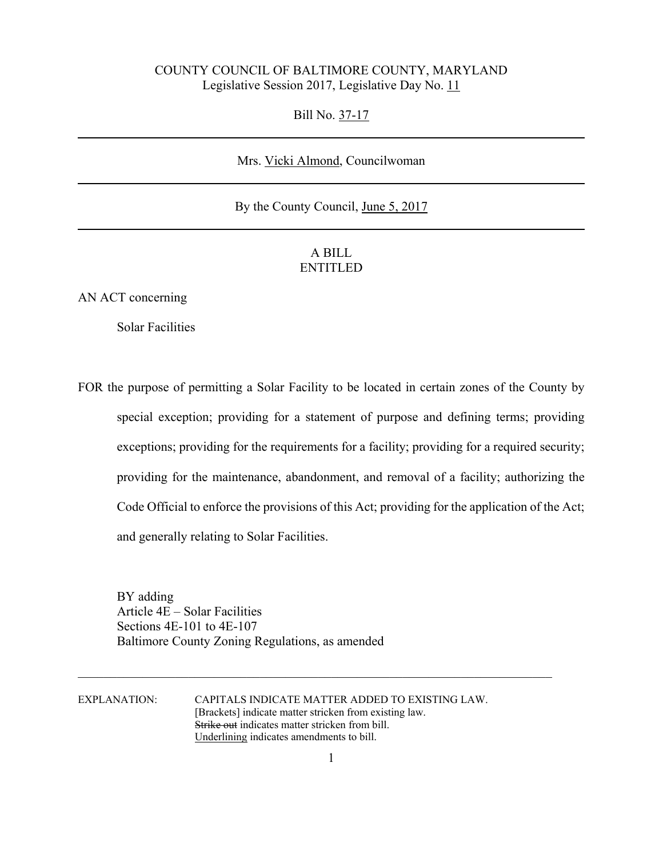## COUNTY COUNCIL OF BALTIMORE COUNTY, MARYLAND Legislative Session 2017, Legislative Day No. 11

Bill No. 37-17

## Mrs. Vicki Almond, Councilwoman

## By the County Council, June 5, 2017

## A BILL ENTITLED

AN ACT concerning

Solar Facilities

FOR the purpose of permitting a Solar Facility to be located in certain zones of the County by special exception; providing for a statement of purpose and defining terms; providing exceptions; providing for the requirements for a facility; providing for a required security; providing for the maintenance, abandonment, and removal of a facility; authorizing the Code Official to enforce the provisions of this Act; providing for the application of the Act; and generally relating to Solar Facilities.

 BY adding Article 4E – Solar Facilities Sections 4E-101 to 4E-107 Baltimore County Zoning Regulations, as amended

EXPLANATION: CAPITALS INDICATE MATTER ADDED TO EXISTING LAW. [Brackets] indicate matter stricken from existing law. Strike out indicates matter stricken from bill. Underlining indicates amendments to bill.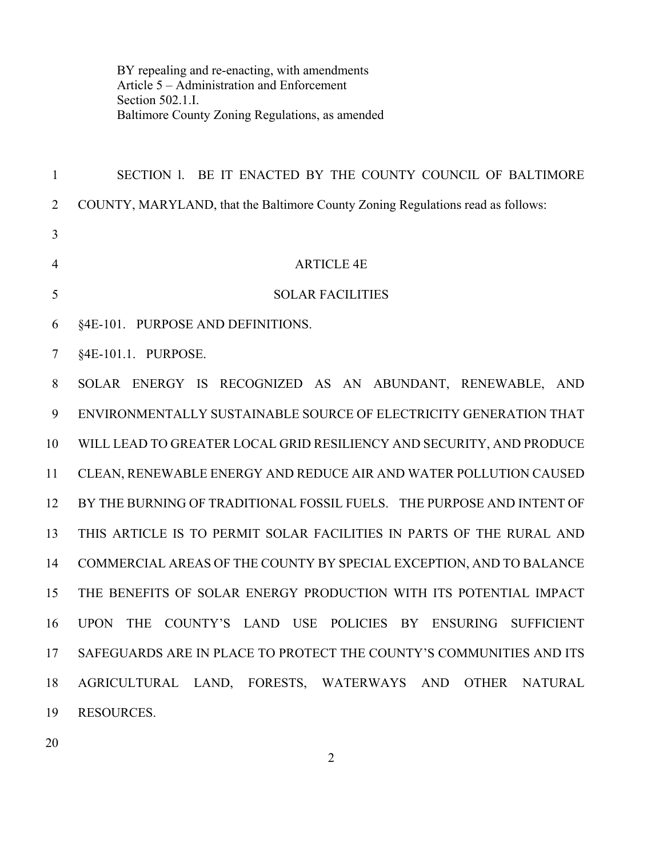BY repealing and re-enacting, with amendments Article 5 – Administration and Enforcement Section 502.1.I. Baltimore County Zoning Regulations, as amended

| $\mathbf{1}$   | SECTION 1. BE IT ENACTED BY THE COUNTY COUNCIL OF BALTIMORE                     |
|----------------|---------------------------------------------------------------------------------|
| $\overline{2}$ | COUNTY, MARYLAND, that the Baltimore County Zoning Regulations read as follows: |
| 3              |                                                                                 |
| $\overline{4}$ | <b>ARTICLE 4E</b>                                                               |
| 5              | <b>SOLAR FACILITIES</b>                                                         |
| 6              | §4E-101. PURPOSE AND DEFINITIONS.                                               |
| 7              | §4E-101.1. PURPOSE.                                                             |
| 8              | SOLAR ENERGY IS RECOGNIZED AS AN ABUNDANT, RENEWABLE, AND                       |
| 9              | ENVIRONMENTALLY SUSTAINABLE SOURCE OF ELECTRICITY GENERATION THAT               |
| 10             | WILL LEAD TO GREATER LOCAL GRID RESILIENCY AND SECURITY, AND PRODUCE            |
| 11             | CLEAN, RENEWABLE ENERGY AND REDUCE AIR AND WATER POLLUTION CAUSED               |
| 12             | BY THE BURNING OF TRADITIONAL FOSSIL FUELS. THE PURPOSE AND INTENT OF           |
| 13             | THIS ARTICLE IS TO PERMIT SOLAR FACILITIES IN PARTS OF THE RURAL AND            |
| 14             | COMMERCIAL AREAS OF THE COUNTY BY SPECIAL EXCEPTION, AND TO BALANCE             |
| 15             | THE BENEFITS OF SOLAR ENERGY PRODUCTION WITH ITS POTENTIAL IMPACT               |
| 16             | UPON THE<br>COUNTY'S LAND USE POLICIES BY ENSURING SUFFICIENT                   |
| 17             | SAFEGUARDS ARE IN PLACE TO PROTECT THE COUNTY'S COMMUNITIES AND ITS             |
| 18             | AGRICULTURAL LAND, FORESTS, WATERWAYS AND OTHER NATURAL                         |
| 19             | <b>RESOURCES.</b>                                                               |

2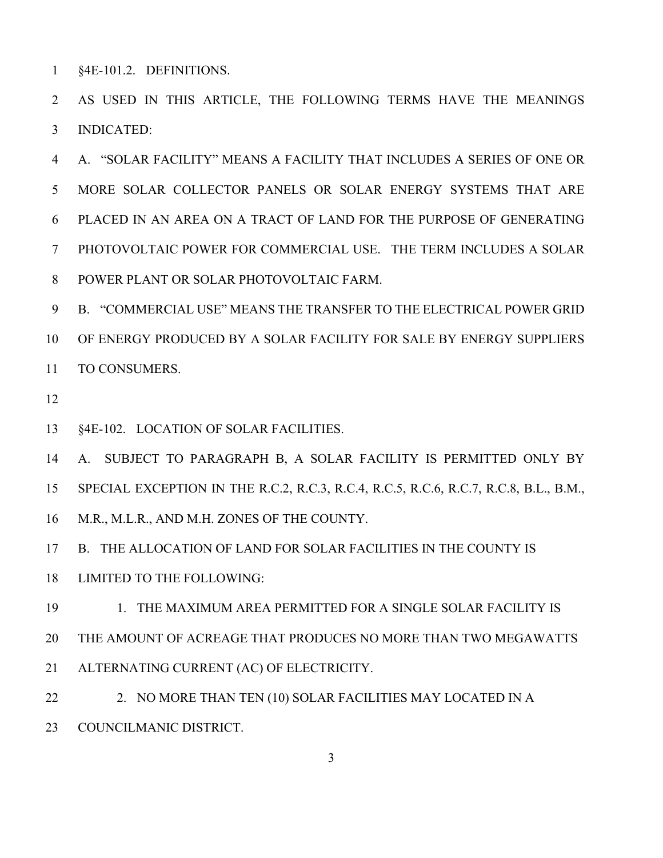1 §4E-101.2. DEFINITIONS.

2 AS USED IN THIS ARTICLE, THE FOLLOWING TERMS HAVE THE MEANINGS 3 INDICATED:

4 A. "SOLAR FACILITY" MEANS A FACILITY THAT INCLUDES A SERIES OF ONE OR 5 MORE SOLAR COLLECTOR PANELS OR SOLAR ENERGY SYSTEMS THAT ARE 6 PLACED IN AN AREA ON A TRACT OF LAND FOR THE PURPOSE OF GENERATING 7 PHOTOVOLTAIC POWER FOR COMMERCIAL USE. THE TERM INCLUDES A SOLAR 8 POWER PLANT OR SOLAR PHOTOVOLTAIC FARM.

9 B. "COMMERCIAL USE" MEANS THE TRANSFER TO THE ELECTRICAL POWER GRID 10 OF ENERGY PRODUCED BY A SOLAR FACILITY FOR SALE BY ENERGY SUPPLIERS 11 TO CONSUMERS.

12

13 §4E-102. LOCATION OF SOLAR FACILITIES.

14 A. SUBJECT TO PARAGRAPH B, A SOLAR FACILITY IS PERMITTED ONLY BY

15 SPECIAL EXCEPTION IN THE R.C.2, R.C.3, R.C.4, R.C.5, R.C.6, R.C.7, R.C.8, B.L., B.M.,

16 M.R., M.L.R., AND M.H. ZONES OF THE COUNTY.

17 B. THE ALLOCATION OF LAND FOR SOLAR FACILITIES IN THE COUNTY IS

18 LIMITED TO THE FOLLOWING:

19 1. THE MAXIMUM AREA PERMITTED FOR A SINGLE SOLAR FACILITY IS 20 THE AMOUNT OF ACREAGE THAT PRODUCES NO MORE THAN TWO MEGAWATTS 21 ALTERNATING CURRENT (AC) OF ELECTRICITY.

22 22 2. NO MORE THAN TEN (10) SOLAR FACILITIES MAY LOCATED IN A 23 COUNCILMANIC DISTRICT.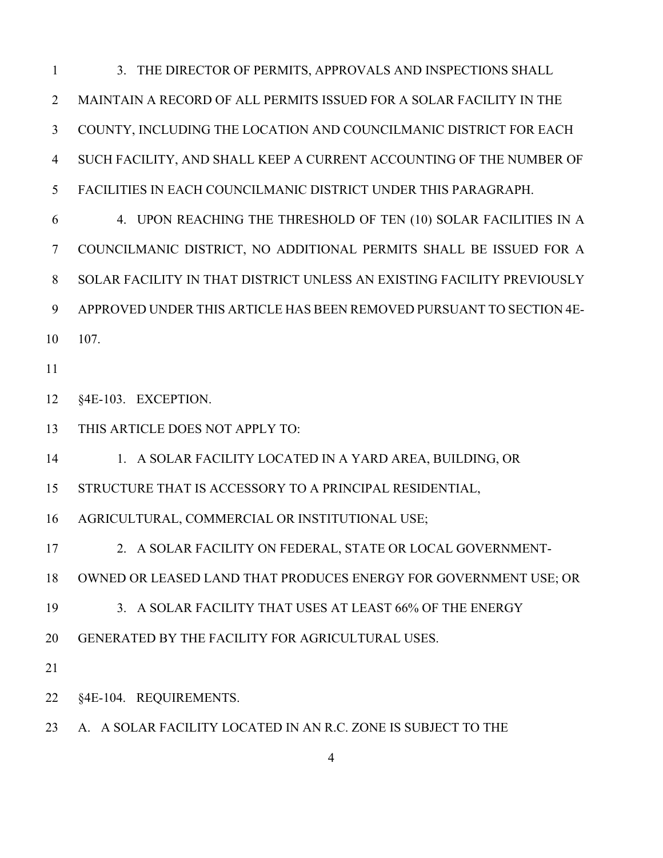1 3. THE DIRECTOR OF PERMITS, APPROVALS AND INSPECTIONS SHALL 2 MAINTAIN A RECORD OF ALL PERMITS ISSUED FOR A SOLAR FACILITY IN THE 3 COUNTY, INCLUDING THE LOCATION AND COUNCILMANIC DISTRICT FOR EACH 4 SUCH FACILITY, AND SHALL KEEP A CURRENT ACCOUNTING OF THE NUMBER OF 5 FACILITIES IN EACH COUNCILMANIC DISTRICT UNDER THIS PARAGRAPH.

6 4. UPON REACHING THE THRESHOLD OF TEN (10) SOLAR FACILITIES IN A 7 COUNCILMANIC DISTRICT, NO ADDITIONAL PERMITS SHALL BE ISSUED FOR A 8 SOLAR FACILITY IN THAT DISTRICT UNLESS AN EXISTING FACILITY PREVIOUSLY 9 APPROVED UNDER THIS ARTICLE HAS BEEN REMOVED PURSUANT TO SECTION 4E-107.

11

12 §4E-103. EXCEPTION.

13 THIS ARTICLE DOES NOT APPLY TO:

14 1. A SOLAR FACILITY LOCATED IN A YARD AREA, BUILDING, OR

15 STRUCTURE THAT IS ACCESSORY TO A PRINCIPAL RESIDENTIAL,

16 AGRICULTURAL, COMMERCIAL OR INSTITUTIONAL USE;

17 2. A SOLAR FACILITY ON FEDERAL, STATE OR LOCAL GOVERNMENT-

18 OWNED OR LEASED LAND THAT PRODUCES ENERGY FOR GOVERNMENT USE; OR

19 3. A SOLAR FACILITY THAT USES AT LEAST 66% OF THE ENERGY

20 GENERATED BY THE FACILITY FOR AGRICULTURAL USES.

21

22 §4E-104. REQUIREMENTS.

23 A. A SOLAR FACILITY LOCATED IN AN R.C. ZONE IS SUBJECT TO THE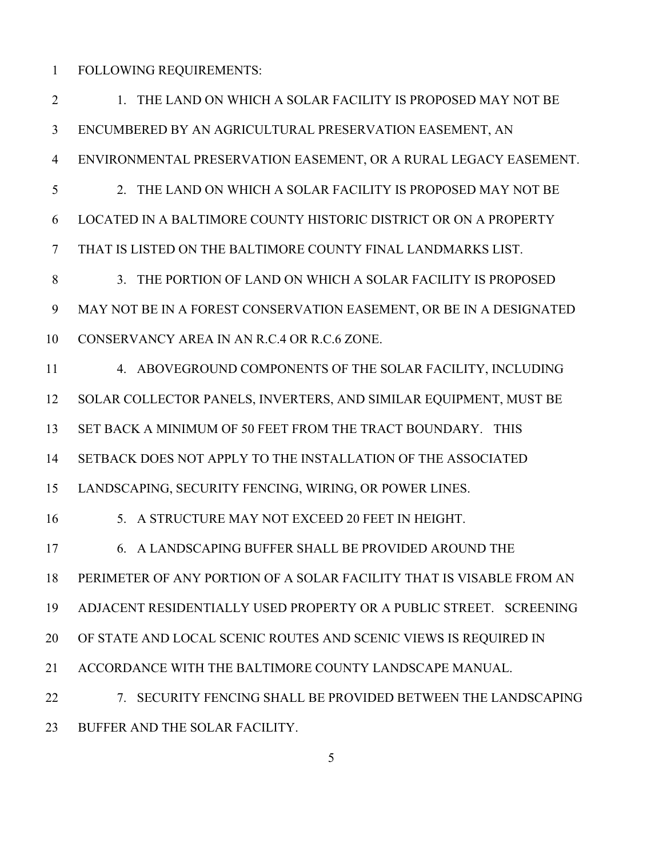1 FOLLOWING REQUIREMENTS:

2 1. THE LAND ON WHICH A SOLAR FACILITY IS PROPOSED MAY NOT BE 3 ENCUMBERED BY AN AGRICULTURAL PRESERVATION EASEMENT, AN 4 ENVIRONMENTAL PRESERVATION EASEMENT, OR A RURAL LEGACY EASEMENT. 5 2. THE LAND ON WHICH A SOLAR FACILITY IS PROPOSED MAY NOT BE 6 LOCATED IN A BALTIMORE COUNTY HISTORIC DISTRICT OR ON A PROPERTY 7 THAT IS LISTED ON THE BALTIMORE COUNTY FINAL LANDMARKS LIST. 8 3. THE PORTION OF LAND ON WHICH A SOLAR FACILITY IS PROPOSED 9 MAY NOT BE IN A FOREST CONSERVATION EASEMENT, OR BE IN A DESIGNATED 10 CONSERVANCY AREA IN AN R.C.4 OR R.C.6 ZONE. 11 4. ABOVEGROUND COMPONENTS OF THE SOLAR FACILITY, INCLUDING 12 SOLAR COLLECTOR PANELS, INVERTERS, AND SIMILAR EQUIPMENT, MUST BE 13 SET BACK A MINIMUM OF 50 FEET FROM THE TRACT BOUNDARY. THIS 14 SETBACK DOES NOT APPLY TO THE INSTALLATION OF THE ASSOCIATED 15 LANDSCAPING, SECURITY FENCING, WIRING, OR POWER LINES. 16 5. A STRUCTURE MAY NOT EXCEED 20 FEET IN HEIGHT. 17 6. A LANDSCAPING BUFFER SHALL BE PROVIDED AROUND THE 18 PERIMETER OF ANY PORTION OF A SOLAR FACILITY THAT IS VISABLE FROM AN 19 ADJACENT RESIDENTIALLY USED PROPERTY OR A PUBLIC STREET. SCREENING 20 OF STATE AND LOCAL SCENIC ROUTES AND SCENIC VIEWS IS REQUIRED IN 21 ACCORDANCE WITH THE BALTIMORE COUNTY LANDSCAPE MANUAL. 22 7. SECURITY FENCING SHALL BE PROVIDED BETWEEN THE LANDSCAPING 23 BUFFER AND THE SOLAR FACILITY.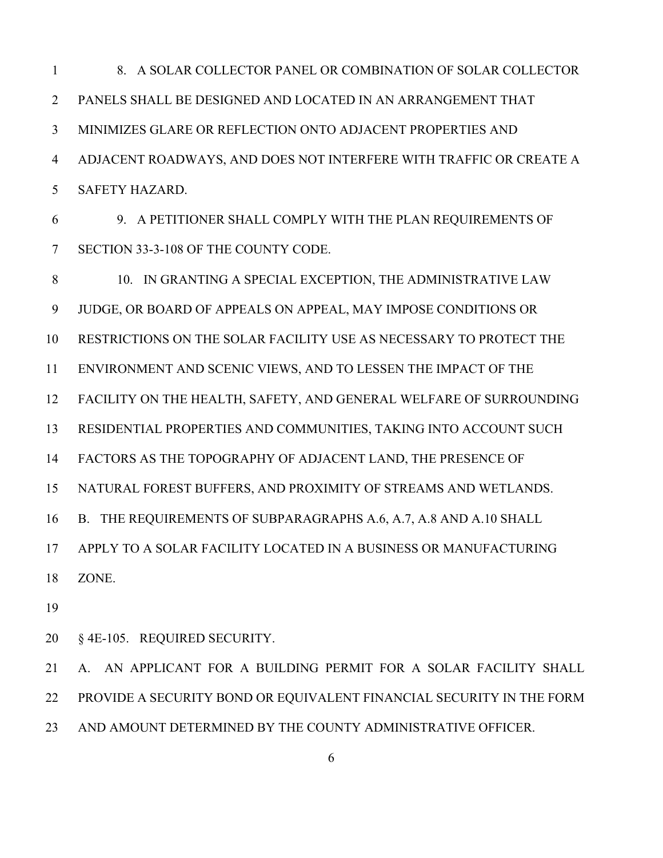1 8. A SOLAR COLLECTOR PANEL OR COMBINATION OF SOLAR COLLECTOR 2 PANELS SHALL BE DESIGNED AND LOCATED IN AN ARRANGEMENT THAT 3 MINIMIZES GLARE OR REFLECTION ONTO ADJACENT PROPERTIES AND 4 ADJACENT ROADWAYS, AND DOES NOT INTERFERE WITH TRAFFIC OR CREATE A 5 SAFETY HAZARD.

6 9. A PETITIONER SHALL COMPLY WITH THE PLAN REQUIREMENTS OF 7 SECTION 33-3-108 OF THE COUNTY CODE.

8 10. IN GRANTING A SPECIAL EXCEPTION, THE ADMINISTRATIVE LAW 9 JUDGE, OR BOARD OF APPEALS ON APPEAL, MAY IMPOSE CONDITIONS OR 10 RESTRICTIONS ON THE SOLAR FACILITY USE AS NECESSARY TO PROTECT THE 11 ENVIRONMENT AND SCENIC VIEWS, AND TO LESSEN THE IMPACT OF THE 12 FACILITY ON THE HEALTH, SAFETY, AND GENERAL WELFARE OF SURROUNDING 13 RESIDENTIAL PROPERTIES AND COMMUNITIES, TAKING INTO ACCOUNT SUCH 14 FACTORS AS THE TOPOGRAPHY OF ADJACENT LAND, THE PRESENCE OF 15 NATURAL FOREST BUFFERS, AND PROXIMITY OF STREAMS AND WETLANDS. 16 B. THE REQUIREMENTS OF SUBPARAGRAPHS A.6, A.7, A.8 AND A.10 SHALL 17 APPLY TO A SOLAR FACILITY LOCATED IN A BUSINESS OR MANUFACTURING 18 ZONE.

19

20 § 4E-105. REQUIRED SECURITY.

21 A. AN APPLICANT FOR A BUILDING PERMIT FOR A SOLAR FACILITY SHALL 22 PROVIDE A SECURITY BOND OR EQUIVALENT FINANCIAL SECURITY IN THE FORM 23 AND AMOUNT DETERMINED BY THE COUNTY ADMINISTRATIVE OFFICER.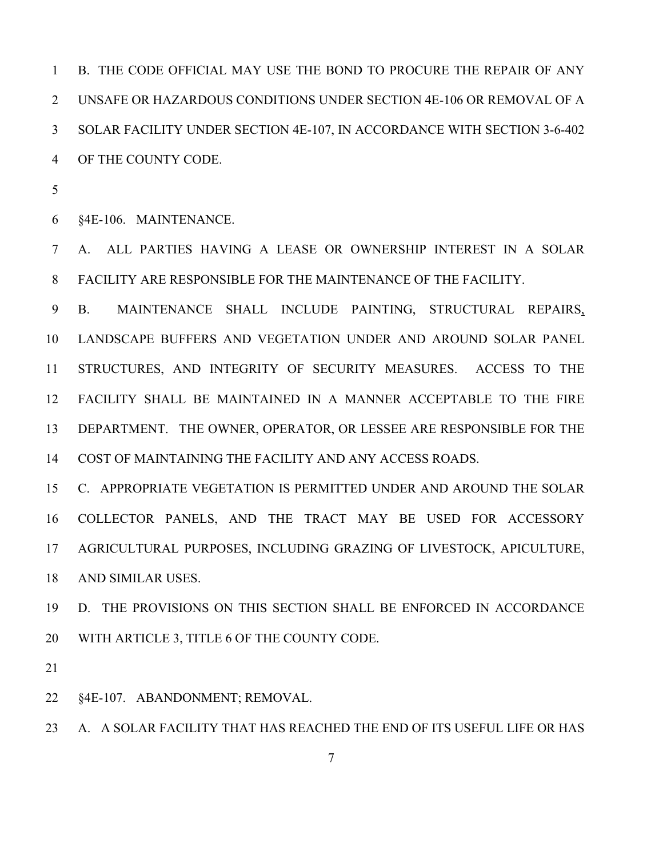1 B. THE CODE OFFICIAL MAY USE THE BOND TO PROCURE THE REPAIR OF ANY 2 UNSAFE OR HAZARDOUS CONDITIONS UNDER SECTION 4E-106 OR REMOVAL OF A 3 SOLAR FACILITY UNDER SECTION 4E-107, IN ACCORDANCE WITH SECTION 3-6-402 4 OF THE COUNTY CODE.

5

6 §4E-106. MAINTENANCE.

7 A. ALL PARTIES HAVING A LEASE OR OWNERSHIP INTEREST IN A SOLAR 8 FACILITY ARE RESPONSIBLE FOR THE MAINTENANCE OF THE FACILITY.

9 B. MAINTENANCE SHALL INCLUDE PAINTING, STRUCTURAL REPAIRS, 10 LANDSCAPE BUFFERS AND VEGETATION UNDER AND AROUND SOLAR PANEL 11 STRUCTURES, AND INTEGRITY OF SECURITY MEASURES. ACCESS TO THE 12 FACILITY SHALL BE MAINTAINED IN A MANNER ACCEPTABLE TO THE FIRE 13 DEPARTMENT. THE OWNER, OPERATOR, OR LESSEE ARE RESPONSIBLE FOR THE 14 COST OF MAINTAINING THE FACILITY AND ANY ACCESS ROADS.

15 C. APPROPRIATE VEGETATION IS PERMITTED UNDER AND AROUND THE SOLAR 16 COLLECTOR PANELS, AND THE TRACT MAY BE USED FOR ACCESSORY 17 AGRICULTURAL PURPOSES, INCLUDING GRAZING OF LIVESTOCK, APICULTURE, 18 AND SIMILAR USES.

19 D. THE PROVISIONS ON THIS SECTION SHALL BE ENFORCED IN ACCORDANCE 20 WITH ARTICLE 3, TITLE 6 OF THE COUNTY CODE.

21

22 §4E-107. ABANDONMENT; REMOVAL.

23 A. A SOLAR FACILITY THAT HAS REACHED THE END OF ITS USEFUL LIFE OR HAS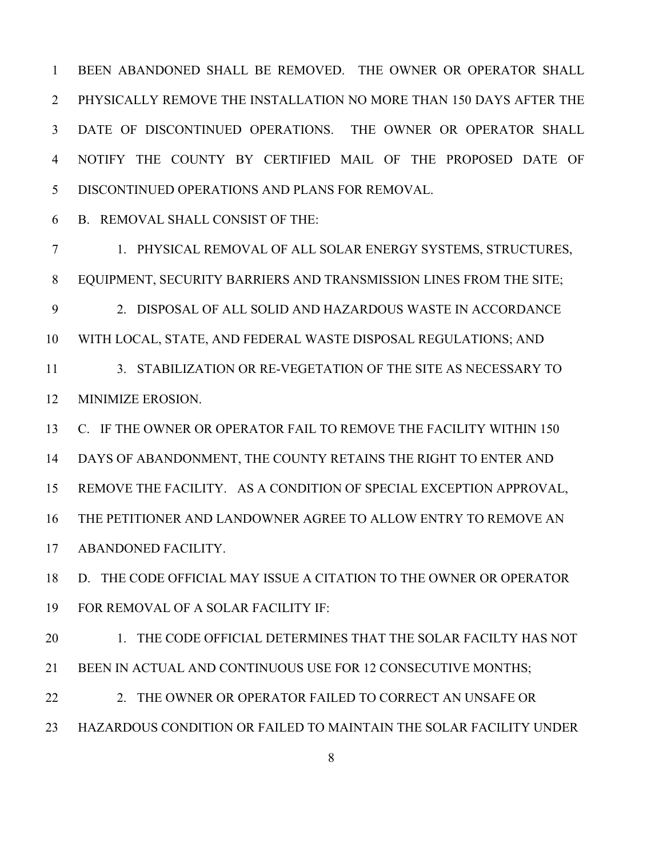1 BEEN ABANDONED SHALL BE REMOVED. THE OWNER OR OPERATOR SHALL 2 PHYSICALLY REMOVE THE INSTALLATION NO MORE THAN 150 DAYS AFTER THE 3 DATE OF DISCONTINUED OPERATIONS. THE OWNER OR OPERATOR SHALL 4 NOTIFY THE COUNTY BY CERTIFIED MAIL OF THE PROPOSED DATE OF 5 DISCONTINUED OPERATIONS AND PLANS FOR REMOVAL.

6 B. REMOVAL SHALL CONSIST OF THE:

7 1. PHYSICAL REMOVAL OF ALL SOLAR ENERGY SYSTEMS, STRUCTURES, 8 EQUIPMENT, SECURITY BARRIERS AND TRANSMISSION LINES FROM THE SITE; 9 2. DISPOSAL OF ALL SOLID AND HAZARDOUS WASTE IN ACCORDANCE 10 WITH LOCAL, STATE, AND FEDERAL WASTE DISPOSAL REGULATIONS; AND 11 3. STABILIZATION OR RE-VEGETATION OF THE SITE AS NECESSARY TO 12 MINIMIZE EROSION. 13 C. IF THE OWNER OR OPERATOR FAIL TO REMOVE THE FACILITY WITHIN 150 14 DAYS OF ABANDONMENT, THE COUNTY RETAINS THE RIGHT TO ENTER AND 15 REMOVE THE FACILITY. AS A CONDITION OF SPECIAL EXCEPTION APPROVAL, 16 THE PETITIONER AND LANDOWNER AGREE TO ALLOW ENTRY TO REMOVE AN 17 ABANDONED FACILITY.

18 D. THE CODE OFFICIAL MAY ISSUE A CITATION TO THE OWNER OR OPERATOR 19 FOR REMOVAL OF A SOLAR FACILITY IF:

20 1. THE CODE OFFICIAL DETERMINES THAT THE SOLAR FACILTY HAS NOT 21 BEEN IN ACTUAL AND CONTINUOUS USE FOR 12 CONSECUTIVE MONTHS;

22 22 2. THE OWNER OR OPERATOR FAILED TO CORRECT AN UNSAFE OR 23 HAZARDOUS CONDITION OR FAILED TO MAINTAIN THE SOLAR FACILITY UNDER